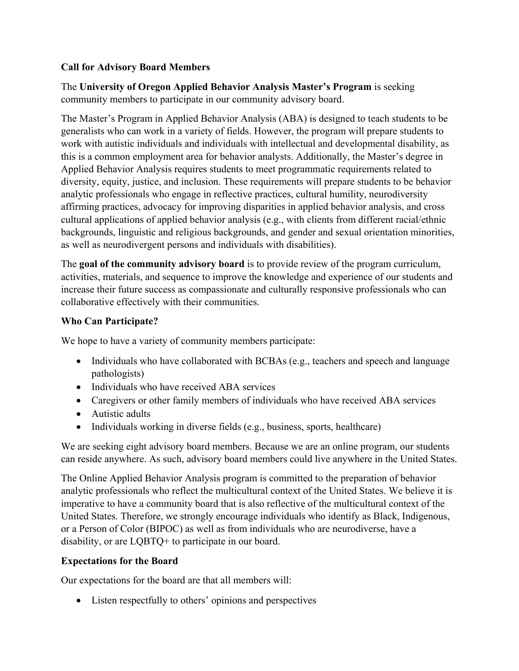### **Call for Advisory Board Members**

The **University of Oregon Applied Behavior Analysis Master's Program** is seeking community members to participate in our community advisory board.

The Master's Program in Applied Behavior Analysis (ABA) is designed to teach students to be generalists who can work in a variety of fields. However, the program will prepare students to work with autistic individuals and individuals with intellectual and developmental disability, as this is a common employment area for behavior analysts. Additionally, the Master's degree in Applied Behavior Analysis requires students to meet programmatic requirements related to diversity, equity, justice, and inclusion. These requirements will prepare students to be behavior analytic professionals who engage in reflective practices, cultural humility, neurodiversity affirming practices, advocacy for improving disparities in applied behavior analysis, and cross cultural applications of applied behavior analysis (e.g., with clients from different racial/ethnic backgrounds, linguistic and religious backgrounds, and gender and sexual orientation minorities, as well as neurodivergent persons and individuals with disabilities).

The **goal of the community advisory board** is to provide review of the program curriculum, activities, materials, and sequence to improve the knowledge and experience of our students and increase their future success as compassionate and culturally responsive professionals who can collaborative effectively with their communities.

# **Who Can Participate?**

We hope to have a variety of community members participate:

- Individuals who have collaborated with BCBAs (e.g., teachers and speech and language pathologists)
- Individuals who have received ABA services
- Caregivers or other family members of individuals who have received ABA services
- Autistic adults
- Individuals working in diverse fields (e.g., business, sports, healthcare)

We are seeking eight advisory board members. Because we are an online program, our students can reside anywhere. As such, advisory board members could live anywhere in the United States.

The Online Applied Behavior Analysis program is committed to the preparation of behavior analytic professionals who reflect the multicultural context of the United States. We believe it is imperative to have a community board that is also reflective of the multicultural context of the United States. Therefore, we strongly encourage individuals who identify as Black, Indigenous, or a Person of Color (BIPOC) as well as from individuals who are neurodiverse, have a disability, or are LQBTQ+ to participate in our board.

#### **Expectations for the Board**

Our expectations for the board are that all members will:

• Listen respectfully to others' opinions and perspectives